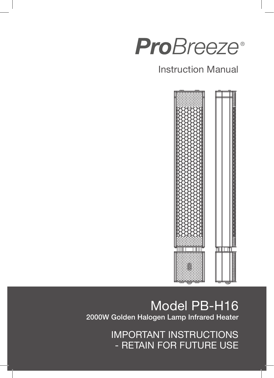

# Instruction Manual



# Model PB-H16 2000W Golden Halogen Lamp Infrared Heater

IMPORTANT INSTRUCTIONS - RETAIN FOR FUTURE USE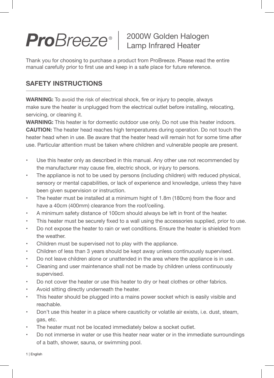# 2000W Golden Halogen Lamp Infrared Heater

Thank you for choosing to purchase a product from ProBreeze. Please read the entire manual carefully prior to first use and keep in a safe place for future reference.

# **SAFETY INSTRUCTIONS**

**WARNING:** To avoid the risk of electrical shock, fire or injury to people, always make sure the heater is unplugged from the electrical outlet before installing, relocating, servicing, or cleaning it.

**WARNING:** This heater is for domestic outdoor use only. Do not use this heater indoors. **CAUTION:** The heater head reaches high temperatures during operation. Do not touch the heater head when in use. Be aware that the heater head will remain hot for some time after use. Particular attention must be taken where children and vulnerable people are present.

- Use this heater only as described in this manual. Any other use not recommended by the manufacturer may cause fire, electric shock, or injury to persons.
- The appliance is not to be used by persons (including children) with reduced physical, sensory or mental capabilities, or lack of experience and knowledge, unless they have been given supervision or instruction.
- The heater must be installed at a minimum hight of 1.8m (180cm) from the floor and have a 40cm (400mm) clearance from the roof/ceiling.
- A minimum safety distance of 100cm should always be left in front of the heater.
- This heater must be securely fixed to a wall using the accessories supplied, prior to use.
- Do not expose the heater to rain or wet conditions. Ensure the heater is shielded from the weather.
- Children must be supervised not to play with the appliance.
- Children of less than 3 years should be kept away unless continuously supervised.
- Do not leave children alone or unattended in the area where the appliance is in use.
- Cleaning and user maintenance shall not be made by children unless continuously supervised.
- Do not cover the heater or use this heater to dry or heat clothes or other fabrics.
- Avoid sitting directly underneath the heater.
- This heater should be plugged into a mains power socket which is easily visible and reachable.
- Don't use this heater in a place where causticity or volatile air exists, i.e. dust, steam, gas, etc.
- The heater must not be located immediately below a socket outlet.
- Do not immerse in water or use this heater near water or in the immediate surroundings of a bath, shower, sauna, or swimming pool.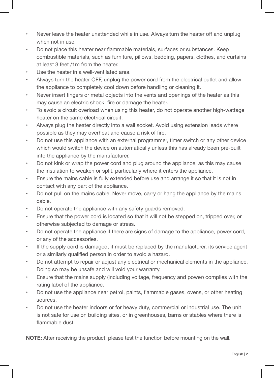- Never leave the heater unattended while in use. Always turn the heater off and unplug when not in use.
- Do not place this heater near flammable materials, surfaces or substances. Keep combustible materials, such as furniture, pillows, bedding, papers, clothes, and curtains at least 3 feet /1m from the heater.
- Use the heater in a well-ventilated area.
- Always turn the heater OFF, unplug the power cord from the electrical outlet and allow the appliance to completely cool down before handling or cleaning it.
- Never insert fingers or metal objects into the vents and openings of the heater as this may cause an electric shock, fire or damage the heater.
- To avoid a circuit overload when using this heater, do not operate another high-wattage heater on the same electrical circuit.
- Always plug the heater directly into a wall socket. Avoid using extension leads where possible as they may overheat and cause a risk of fire.
- Do not use this appliance with an external programmer, timer switch or any other device which would switch the device on automatically unless this has already been pre-built into the appliance by the manufacturer.
- Do not kink or wrap the power cord and plug around the appliance, as this may cause the insulation to weaken or split, particularly where it enters the appliance.
- Ensure the mains cable is fully extended before use and arrange it so that it is not in contact with any part of the appliance.
- Do not pull on the mains cable. Never move, carry or hang the appliance by the mains cable.
- Do not operate the appliance with any safety guards removed.
- Ensure that the power cord is located so that it will not be stepped on, tripped over, or otherwise subjected to damage or stress.
- Do not operate the appliance if there are signs of damage to the appliance, power cord, or any of the accessories.
- If the supply cord is damaged, it must be replaced by the manufacturer, its service agent or a similarly qualified person in order to avoid a hazard.
- Do not attempt to repair or adjust any electrical or mechanical elements in the appliance. Doing so may be unsafe and will void your warranty.
- Ensure that the mains supply (including voltage, frequency and power) complies with the rating label of the appliance.
- Do not use the appliance near petrol, paints, flammable gases, ovens, or other heating sources.
- Do not use the heater indoors or for heavy duty, commercial or industrial use. The unit is not safe for use on building sites, or in greenhouses, barns or stables where there is flammable dust.

**NOTE:** After receiving the product, please test the function before mounting on the wall.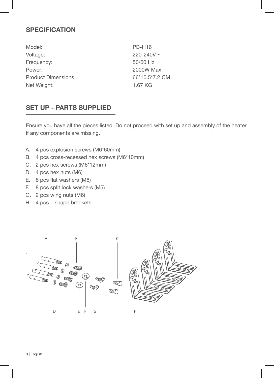### **SPECIFICATION**

Model: PB-H16 Voltage: 220-240V ~ Frequency: 50/60 Hz Power: 2000W Max Product Dimensions: 66\*10.5\*7.2 CM Net Weight: 1.67 KG

# **SET UP - PARTS SUPPLIED**

Ensure you have all the pieces listed. Do not proceed with set up and assembly of the heater if any components are missing.

- A. 4 pcs explosion screws (M6\*60mm)
- B. 4 pcs cross-recessed hex screws (M6\*10mm)
- C. 2 pcs hex screws (M6\*12mm)
- D. 4 pcs hex nuts (M6)
- E. 8 pcs flat washers (M6)
- F. 8 pcs split lock washers (M5)
- G. 2 pcs wing nuts (M6)
- H. 4 pcs L shape brackets

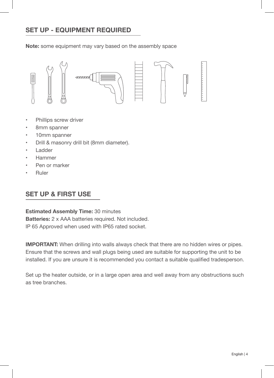# **SET UP - EQUIPMENT REQUIRED**

**Note:** some equipment may vary based on the assembly space



- Phillips screw driver
- 8mm spanner
- 10mm spanner
- Drill & masonry drill bit (8mm diameter).
- Ladder
- Hammer
- Pen or marker
- Ruler

# **SET UP & FIRST USE**

**Estimated Assembly Time:** 30 minutes **Batteries:** 2 x AAA batteries required. Not included. IP 65 Approved when used with IP65 rated socket.

**IMPORTANT:** When drilling into walls always check that there are no hidden wires or pipes. Ensure that the screws and wall plugs being used are suitable for supporting the unit to be installed. If you are unsure it is recommended you contact a suitable qualified tradesperson.

Set up the heater outside, or in a large open area and well away from any obstructions such as tree branches.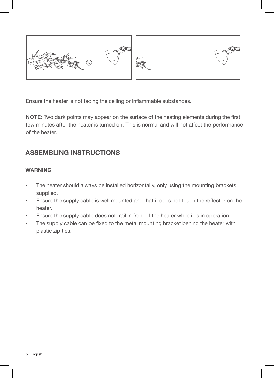



Ensure the heater is not facing the ceiling or inflammable substances.

**NOTE:** Two dark points may appear on the surface of the heating elements during the first few minutes after the heater is turned on. This is normal and will not affect the performance of the heater.

### **ASSEMBLING INSTRUCTIONS**

#### **WARNING**

- The heater should always be installed horizontally, only using the mounting brackets supplied.
- Ensure the supply cable is well mounted and that it does not touch the reflector on the heater.
- Ensure the supply cable does not trail in front of the heater while it is in operation.
- The supply cable can be fixed to the metal mounting bracket behind the heater with plastic zip ties.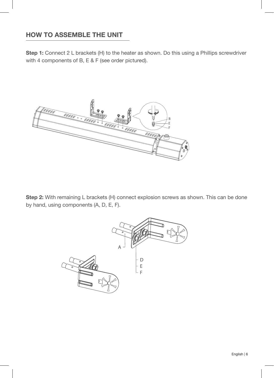# **HOW TO ASSEMBLE THE UNIT**

**Step 1:** Connect 2 L brackets (H) to the heater as shown. Do this using a Phillips screwdriver with 4 components of B, E & F (see order pictured).



**Step 2:** With remaining L brackets (H) connect explosion screws as shown. This can be done by hand, using components (A, D, E, F).

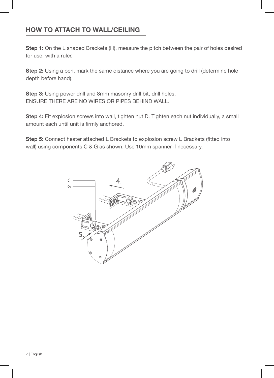# **HOW TO ATTACH TO WALL/CEILING**

**Step 1:** On the L shaped Brackets (H), measure the pitch between the pair of holes desired for use, with a ruler.

**Step 2:** Using a pen, mark the same distance where you are going to drill (determine hole depth before hand).

**Step 3:** Using power drill and 8mm masonry drill bit, drill holes. ENSURE THERE ARE NO WIRES OR PIPES BEHIND WALL.

**Step 4:** Fit explosion screws into wall, tighten nut D. Tighten each nut individually, a small amount each until unit is firmly anchored.

**Step 5:** Connect heater attached L Brackets to explosion screw L Brackets (fitted into wall) using components C & G as shown. Use 10mm spanner if necessary.

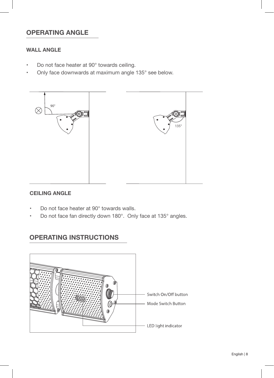# **OPERATING ANGLE**

### **WALL ANGLE**

- Do not face heater at 90° towards ceiling.
- Only face downwards at maximum angle 135° see below.



#### **CEILING ANGLE**

- Do not face heater at 90° towards walls.
- Do not face fan directly down 180°. Only face at 135° angles.

# **OPERATING INSTRUCTIONS**

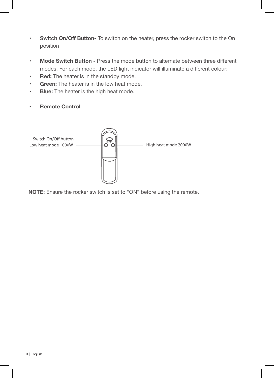- **• Switch On/Off Button-** To switch on the heater, press the rocker switch to the On position
- **• Mode Switch Button -** Press the mode button to alternate between three different modes. For each mode, the LED light indicator will illuminate a different colour:
- **• Red:** The heater is in the standby mode.
- **• Green:** The heater is in the low heat mode.
- **• Blue:** The heater is the high heat mode.
- **• Remote Control**



**NOTE:** Ensure the rocker switch is set to "ON" before using the remote.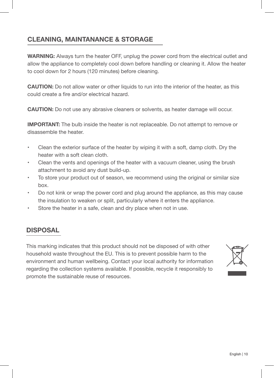# **CLEANING, MAINTANANCE & STORAGE**

**WARNING:** Always turn the heater OFF, unplug the power cord from the electrical outlet and allow the appliance to completely cool down before handling or cleaning it. Allow the heater to cool down for 2 hours (120 minutes) before cleaning.

**CAUTION:** Do not allow water or other liquids to run into the interior of the heater, as this could create a fire and/or electrical hazard.

**CAUTION:** Do not use any abrasive cleaners or solvents, as heater damage will occur.

**IMPORTANT:** The bulb inside the heater is not replaceable. Do not attempt to remove or disassemble the heater.

- Clean the exterior surface of the heater by wiping it with a soft, damp cloth. Dry the heater with a soft clean cloth.
- Clean the vents and openings of the heater with a vacuum cleaner, using the brush attachment to avoid any dust build-up.
- To store your product out of season, we recommend using the original or similar size box.
- Do not kink or wrap the power cord and plug around the appliance, as this may cause the insulation to weaken or split, particularly where it enters the appliance.
- Store the heater in a safe, clean and dry place when not in use.

# **DISPOSAL**

This marking indicates that this product should not be disposed of with other household waste throughout the EU. This is to prevent possible harm to the environment and human wellbeing. Contact your local authority for information regarding the collection systems available. If possible, recycle it responsibly to promote the sustainable reuse of resources.